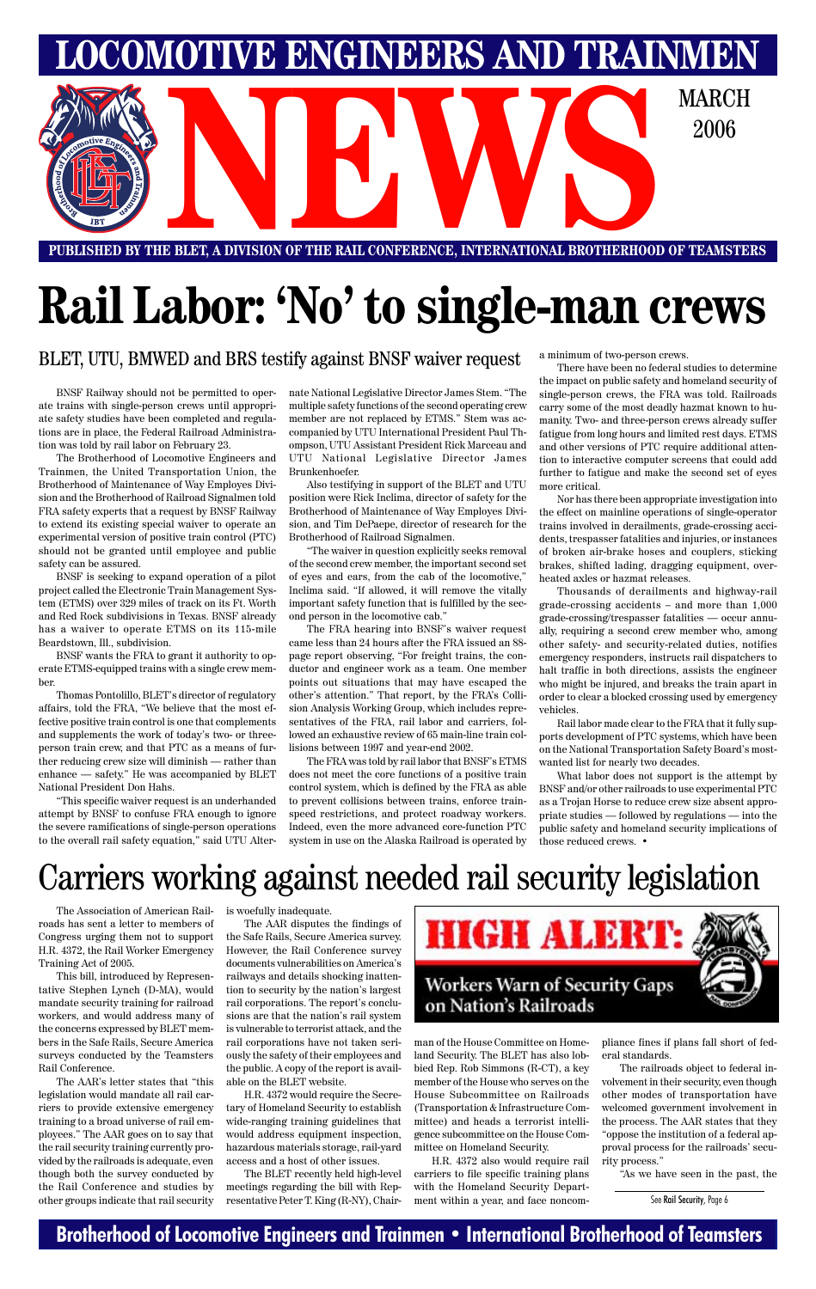### **Brotherhood of Locomotive Engineers and Trainmen • International Brotherhood of Teamsters**

**PUBLISHED BY THE BLET, A DIVISION OF THE RAIL CONFERENCE, INTERNATIONAL BROTHERHOOD OF TEAMSTERS**

**LOMOTIVE ENGINEERS AND TRAINMEI** 



# **Rail Labor: 'No' to single-man crews**

BLET, UTU, BMWED and BRS testify against BNSF waiver request

BNSF Railway should not be permitted to operate trains with single-person crews until appropriate safety studies have been completed and regulations are in place, the Federal Railroad Administration was told by rail labor on February 23.

The Brotherhood of Locomotive Engineers and Trainmen, the United Transportation Union, the Brotherhood of Maintenance of Way Employes Division and the Brotherhood of Railroad Signalmen told FRA safety experts that a request by BNSF Railway to extend its existing special waiver to operate an experimental version of positive train control (PTC) should not be granted until employee and public safety can be assured.

BNSF is seeking to expand operation of a pilot project called the Electronic Train Management System (ETMS) over 329 miles of track on its Ft. Worth and Red Rock subdivisions in Texas. BNSF already has a waiver to operate ETMS on its 115-mile Beardstown, Ill., subdivision.

BNSF wants the FRA to grant it authority to operate ETMS-equipped trains with a single crew member.

Thomas Pontolillo, BLET's director of regulatory affairs, told the FRA, "We believe that the most effective positive train control is one that complements and supplements the work of today's two- or threeperson train crew, and that PTC as a means of further reducing crew size will diminish — rather than enhance — safety." He was accompanied by BLET National President Don Hahs.

"This specific waiver request is an underhanded attempt by BNSF to confuse FRA enough to ignore the severe ramifications of single-person operations to the overall rail safety equation," said UTU Alternate National Legislative Director James Stem. "The multiple safety functions of the second operating crew member are not replaced by ETMS." Stem was accompanied by UTU International President Paul Thompson, UTU Assistant President Rick Marceau and UTU National Legislative Director James Brunkenhoefer.

Also testifying in support of the BLET and UTU position were Rick Inclima, director of safety for the Brotherhood of Maintenance of Way Employes Division, and Tim DePaepe, director of research for the Brotherhood of Railroad Signalmen.

"The waiver in question explicitly seeks removal of the second crew member, the important second set of eyes and ears, from the cab of the locomotive," Inclima said. "If allowed, it will remove the vitally important safety function that is fulfilled by the second person in the locomotive cab."

The FRA hearing into BNSF's waiver request came less than 24 hours after the FRA issued an 88 page report observing, "For freight trains, the conductor and engineer work as a team. One member points out situations that may have escaped the other's attention." That report, by the FRA's Collision Analysis Working Group, which includes representatives of the FRA, rail labor and carriers, followed an exhaustive review of 65 main-line train collisions between 1997 and year-end 2002.

The FRA was told by rail labor that BNSF's ETMS does not meet the core functions of a positive train control system, which is defined by the FRA as able to prevent collisions between trains, enforce trainspeed restrictions, and protect roadway workers. Indeed, even the more advanced core-function PTC system in use on the Alaska Railroad is operated by a minimum of two-person crews.

There have been no federal studies to determine the impact on public safety and homeland security of single-person crews, the FRA was told. Railroads carry some of the most deadly hazmat known to humanity. Two- and three-person crews already suffer fatigue from long hours and limited rest days. ETMS and other versions of PTC require additional attention to interactive computer screens that could add further to fatigue and make the second set of eyes more critical.

Nor has there been appropriate investigation into the effect on mainline operations of single-operator trains involved in derailments, grade-crossing accidents, trespasser fatalities and injuries, or instances of broken air-brake hoses and couplers, sticking brakes, shifted lading, dragging equipment, overheated axles or hazmat releases.

Thousands of derailments and highway-rail grade-crossing accidents – and more than 1,000 grade-crossing/trespasser fatalities — occur annually, requiring a second crew member who, among other safety- and security-related duties, notifies emergency responders, instructs rail dispatchers to halt traffic in both directions, assists the engineer who might be injured, and breaks the train apart in order to clear a blocked crossing used by emergency vehicles.

Rail labor made clear to the FRA that it fully supports development of PTC systems, which have been on the National Transportation Safety Board's mostwanted list for nearly two decades.

What labor does not support is the attempt by BNSF and/or other railroads to use experimental PTC as a Trojan Horse to reduce crew size absent appropriate studies — followed by regulations — into the public safety and homeland security implications of those reduced crews. •

The Association of American Railroads has sent a letter to members of Congress urging them not to support the Safe Rails, Secure America survey. H.R. 4372, the Rail Worker Emergency Training Act of 2005. This bill, introduced by Representative Stephen Lynch (D-MA), would mandate security training for railroad workers, and would address many of the concerns expressed by BLET members in the Safe Rails, Secure America surveys conducted by the Teamsters Rail Conference. The AAR's letter states that "this legislation would mandate all rail carriers to provide extensive emergency training to a broad universe of rail employees." The AAR goes on to say that the rail security training currently provided by the railroads is adequate, even though both the survey conducted by the Rail Conference and studies by other groups indicate that rail security

is woefully inadequate.

The AAR disputes the findings of



However, the Rail Conference survey documents vulnerabilities on America's railways and details shocking inattention to security by the nation's largest rail corporations. The report's conclusions are that the nation's rail system is vulnerable to terrorist attack, and the rail corporations have not taken seriously the safety of their employees and the public. A copy of the report is available on the BLET website.

H.R. 4372 would require the Secretary of Homeland Security to establish wide-ranging training guidelines that would address equipment inspection, hazardous materials storage, rail-yard access and a host of other issues.

The BLET recently held high-level meetings regarding the bill with Representative Peter T. King (R-NY), Chair-

### **Workers Warn of Security Gaps** on Nation's Railroads

man of the House Committee on Homeland Security. The BLET has also lobbied Rep. Rob Simmons (R-CT), a key member of the House who serves on the House Subcommittee on Railroads (Transportation & Infrastructure Committee) and heads a terrorist intelligence subcommittee on the House Committee on Homeland Security.

H.R. 4372 also would require rail carriers to file specific training plans with the Homeland Security Department within a year, and face noncompliance fines if plans fall short of federal standards.

The railroads object to federal involvement in their security, even though other modes of transportation have welcomed government involvement in the process. The AAR states that they "oppose the institution of a federal approval process for the railroads' security process."

"As we have seen in the past, the

# Carriers working against needed rail security legislation

See Rail Security, Page 6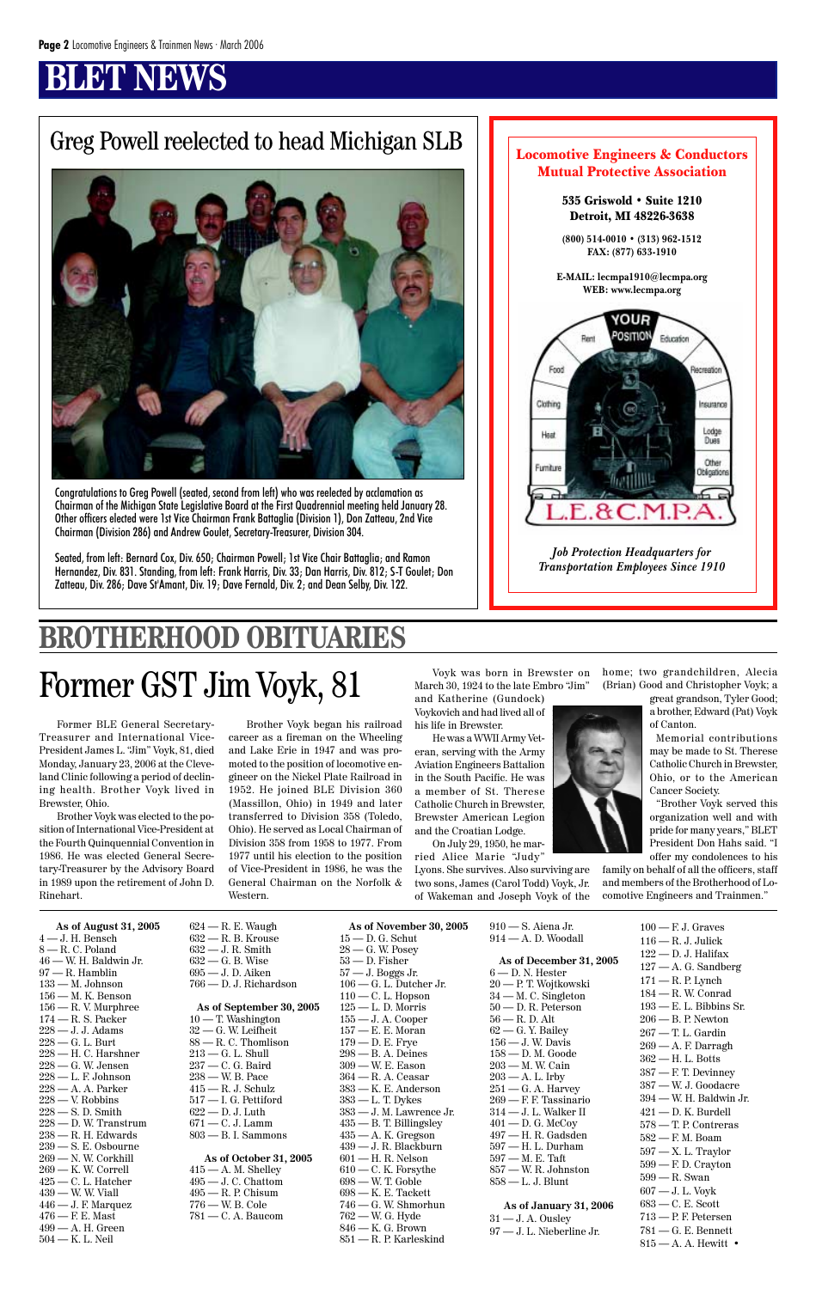### **BET NEWS**

### Greg Powell reelected to head Michigan SLB | Locomotive Engineers & Conductors

100 — F. J. Graves 116 — R. J. Julick 122 — D. J. Halifax 127 — A. G. Sandberg 171 — R. P. Lynch 184 — R. W. Conrad 193 — E. L. Bibbins Sr. 206 — B. P. Newton 267 — T. L. Gardin  $269 - A$ . F. Darragh 362 — H. L. Botts 387 — F. T. Devinney 387 — W. J. Goodacre 394 — W. H. Baldwin Jr. 421 — D. K. Burdell 578 — T. P. Contreras 582 — F. M. Boam 597 — X. L. Traylor 599 — F. D. Crayton 599 — R. Swan 607 — J. L. Voyk 683 — C. E. Scott 713 — P. F. Petersen 781 — G. E. Bennett

815 — A. A. Hewitt •

Former BLE General Secretary-Treasurer and International Vice-President James L. "Jim" Voyk, 81, died Monday, January 23, 2006 at the Cleveland Clinic following a period of declining health. Brother Voyk lived in Brewster, Ohio.

Brother Voyk was elected to the position of International Vice-President at the Fourth Quinquennial Convention in 1986. He was elected General Secretary-Treasurer by the Advisory Board in 1989 upon the retirement of John D. Rinehart.

Voyk was born in Brewster on home; two grandchildren, Alecia (Brian) Good and Christopher Voyk; a

Brother Voyk began his railroad career as a fireman on the Wheeling and Lake Erie in 1947 and was promoted to the position of locomotive engineer on the Nickel Plate Railroad in 1952. He joined BLE Division 360 (Massillon, Ohio) in 1949 and later transferred to Division 358 (Toledo, Ohio). He served as Local Chairman of Division 358 from 1958 to 1977. From 1977 until his election to the position of Vice-President in 1986, he was the General Chairman on the Norfolk & Western.

March 30, 1924 to the late Embro "Jim"

and Katherine (Gundock) Voykovich and had lived all of his life in Brewster.

He was a WWII Army Veteran, serving with the Army Aviation Engineers Battalion in the South Pacific. He was a member of St. Therese Catholic Church in Brewster, Brewster American Legion and the Croatian Lodge.

On July 29, 1950, he mar-

ried Alice Marie "Judy" Lyons. She survives. Also surviving are two sons, James (Carol Todd) Voyk, Jr. of Wakeman and Joseph Voyk of the great grandson, Tyler Good; a brother, Edward (Pat) Voyk of Canton.

Memorial contributions may be made to St. Therese Catholic Church in Brewster, Ohio, or to the American Cancer Society.

 $31 - J.$  A. Ousley 97 — J. L. Nieberline Jr.

"Brother Voyk served this organization well and with pride for many years," BLET President Don Hahs said. "I offer my condolences to his

family on behalf of all the officers, staff and members of the Brotherhood of Locomotive Engineers and Trainmen."

# **BROTHERHOOD OBITUARIES**

## Former GST Jim Voyk, 81

**As of August 31, 2005** 4 — J. H. Bensch 8 — R. C. Poland 46 — W. H. Baldwin Jr. 97 — R. Hamblin 133 — M. Johnson 156 — M. K. Benson 156 — R. V. Murphree  $174 - R$ . S. Packer 228 — J. J. Adams 228 — G. L. Burt  $228 - H$ . C. Harshner  $228 - G$ . W. Jensen 228 — L. F. Johnson  $228$  — A. A. Parker 228 — V. Robbins 228 — S. D. Smith  $228 - D$ . W. Transtrum 238 — R. H. Edwards 239 — S. E. Osbourne 269 — N. W. Corkhill 269 — K. W. Correll 425 — C. L. Hatcher 439 — W. W. Viall  $446 - J.$  F. Marquez  $476$  – F. E. Mast 499 — A. H. Green 504 — K. L. Neil

624 — R. E. Waugh 632 — R. B. Krouse 632 — J. R. Smith 632 — G. B. Wise 695 — J. D. Aiken 766 — D. J. Richardson **As of September 30, 2005** 10 — T. Washington 32 — G. W. Leifheit 88 — R. C. Thomlison 213 — G. L. Shull 237 — C. G. Baird 238 — W. B. Pace 415 — R. J. Schulz 517 — I. G. Pettiford 622 — D. J. Luth 671 — C. J. Lamm 803 — B. I. Sammons **As of October 31, 2005** 415 — A. M. Shelley 495 — J. C. Chattom 495 — R. P. Chisum 776 — W. B. Cole 781 — C. A. Baucom

**As of November 30, 2005** 15 — D. G. Schut

28 — G. W. Posey 53 — D. Fisher 57 — J. Boggs Jr. 106 — G. L. Dutcher Jr.  $110 - C$ . L. Hopson 125 — L. D. Morris 155 — J. A. Cooper 157 — E. E. Moran 179 — D. E. Frye 298 — B. A. Deines 309 — W. E. Eason 364 — R. A. Ceasar 383 — K. E. Anderson 383 — L. T. Dykes 383 — J. M. Lawrence Jr. 435 — B. T. Billingsley  $435 - A$ . K. Gregson 439 — J. R. Blackburn 601 — H. R. Nelson 610 — C. K. Forsythe 698 — W. T. Goble 698 — K. E. Tackett 746 — G. W. Shmorhun 762 — W. G. Hyde 846 — K. G. Brown 851 — R. P. Karleskind

910 — S. Aiena Jr. 914 — A. D. Woodall

**As of December 31, 2005** 6 — D. N. Hester 20 — P. T. Wojtkowski 34 — M. C. Singleton 50 — D. R. Peterson 56 — R. D. Alt 62 — G. Y. Bailey 156 — J. W. Davis 158 — D. M. Goode 203 — M. W. Cain  $203 - A$ . L. Irby  $251$  — G. A. Harvey 269 — F. F. Tassinario 314 — J. L. Walker II 401 — D. G. McCoy 497 — H. R. Gadsden 597 — H. L. Durham 597 — M. E. Taft 857 — W. R. Johnston 858 — L. J. Blunt

#### **As of January 31, 2006**



Congratulations to Greg Powell (seated, second from left) who was reelected by acclamation as Chairman of the Michigan State Legislative Board at the First Quadrennial meeting held January 28. Other officers elected were 1st Vice Chairman Frank Battaglia (Division 1), Don Zatteau, 2nd Vice Chairman (Division 286) and Andrew Goulet, Secretary-Treasurer, Division 304.

Seated, from left: Bernard Cox, Div. 650; Chairman Powell; 1st Vice Chair Battaglia; and Ramon Hernandez, Div. 831. Standing, from left: Frank Harris, Div. 33; Dan Harris, Div. 812; S-T Goulet; Don Zatteau, Div. 286; Dave St'Amant, Div. 19; Dave Fernald, Div. 2; and Dean Selby, Div. 122.

### Mutual Protective Association 535 Griswold • Suite 1210 Detroit, MI 48226-3638 **(800) 514-0010 • (313) 962-1512 FAX: (877) 633-1910 E-MAIL: lecmpa1910@lecmpa.org WEB: www.lecmpa.org RUOY** OSITION Education Food Recreation Clothing Insurance Lodge Heat Dues Other Fumiture Obligations  $E.8C.M.P.$ *Job Protection Headquarters for Transportation Employees Since 1910*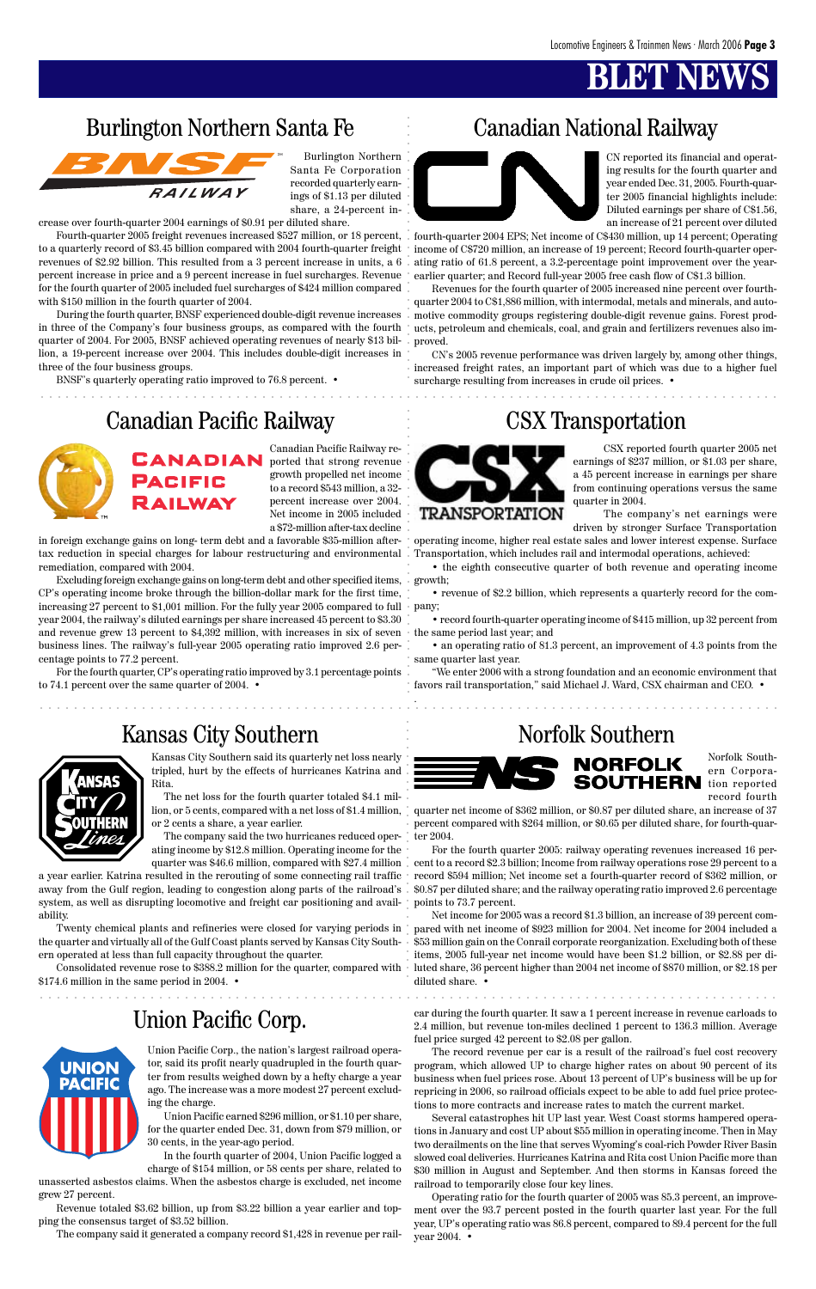### **BLET NEW**

### Burlington Northern Santa Fe Canadian National Railway



Burlington Northern Santa Fe Corporation recorded quarterly earnings of \$1.13 per diluted share, a 24-percent in-

crease over fourth-quarter 2004 earnings of \$0.91 per diluted share.

Fourth-quarter 2005 freight revenues increased \$527 million, or 18 percent, to a quarterly record of \$3.45 billion compared with 2004 fourth-quarter freight revenues of \$2.92 billion. This resulted from a 3 percent increase in units, a 6 percent increase in price and a 9 percent increase in fuel surcharges. Revenue for the fourth quarter of 2005 included fuel surcharges of \$424 million compared with \$150 million in the fourth quarter of 2004.

During the fourth quarter, BNSF experienced double-digit revenue increases in three of the Company's four business groups, as compared with the fourth quarter of 2004. For 2005, BNSF achieved operating revenues of nearly \$13 billion, a 19-percent increase over 2004. This includes double-digit increases in three of the four business groups.

CN's 2005 revenue performance was driven largely by, among other things, increased freight rates, an important part of which was due to a higher fuel surcharge resulting from increases in crude oil prices. •



BNSF's quarterly operating ratio improved to 76.8 percent. •

CN reported its financial and operating results for the fourth quarter and year ended Dec. 31, 2005. Fourth-quarter 2005 financial highlights include: Diluted earnings per share of C\$1.56, an increase of 21 percent over diluted

fourth-quarter 2004 EPS; Net income of C\$430 million, up 14 percent; Operating income of C\$720 million, an increase of 19 percent; Record fourth-quarter operating ratio of 61.8 percent, a 3.2-percentage point improvement over the yearearlier quarter; and Record full-year 2005 free cash flow of C\$1.3 billion.

Revenues for the fourth quarter of 2005 increased nine percent over fourthquarter 2004 to C\$1,886 million, with intermodal, metals and minerals, and automotive commodity groups registering double-digit revenue gains. Forest products, petroleum and chemicals, coal, and grain and fertilizers revenues also improved.

Canadian Pacific Railway reported that strong revenue growth propelled net income to a record \$543 million, a 32 percent increase over 2004. Net income in 2005 included a \$72-million after-tax decline

in foreign exchange gains on long- term debt and a favorable \$35-million aftertax reduction in special charges for labour restructuring and environmental remediation, compared with 2004.

For the fourth quarter, CP's operating ratio improved by 3.1 percentage points to 74.1 percent over the same quarter of 2004. •

# **NSAS**

**UNION PACIFIC** 

CSX reported fourth quarter 2005 net earnings of \$237 million, or \$1.03 per share, a 45 percent increase in earnings per share from continuing operations versus the same quarter in 2004.

The company's net earnings were driven by stronger Surface Transportation

operating income, higher real estate sales and lower interest expense. Surface Transportation, which includes rail and intermodal operations, achieved:

• the eighth consecutive quarter of both revenue and operating income growth;

• revenue of \$2.2 billion, which represents a quarterly record for the com-

• record fourth-quarter operating income of \$415 million, up 32 percent from

• an operating ratio of 81.3 percent, an improvement of 4.3 points from the same quarter last year.

Excluding foreign exchange gains on long-term debt and other specified items, CP's operating income broke through the billion-dollar mark for the first time, increasing 27 percent to \$1,001 million. For the fully year 2005 compared to full  $+$  pany; year 2004, the railway's diluted earnings per share increased 45 percent to \$3.30 and revenue grew 13 percent to \$4,392 million, with increases in six of seven  $\cdot$  the same period last year; and business lines. The railway's full-year 2005 operating ratio improved 2.6 percentage points to 77.2 percent. aaaaaaaaaaaaaaaaaaaaaaaaaaaaaaaaaaaaaaaaaaaaaaaaaaaaaaaaaaaaaaaaaaaaaaaaaaaaaaaaaaaaaaa aaaaaaaaaaaaaaaaaaaaaaaaaaaaaaa

"We enter 2006 with a strong foundation and an economic environment that favors rail transportation," said Michael J. Ward, CSX chairman and CEO. •

.

Kansas City Southern said its quarterly net loss nearly tripled, hurt by the effects of hurricanes Katrina and Rita.

The net loss for the fourth quarter totaled \$4.1 million, or 5 cents, compared with a net loss of \$1.4 million, or 2 cents a share, a year earlier.

The company said the two hurricanes reduced operating income by \$12.8 million. Operating income for the quarter was \$46.6 million, compared with \$27.4 million

a year earlier. Katrina resulted in the rerouting of some connecting rail traffic away from the Gulf region, leading to congestion along parts of the railroad's system, as well as disrupting locomotive and freight car positioning and avail-points to 73.7 percent. ability.



ern operated at less than full capacity throughout the quarter.

\$174.6 million in the same period in 2004. •

### Canadian Pacific Railway CSX Transportation





### Union Pacific Corp.

aaaaaaaaaaaaaaaaaaaaaaaaaaaaaaaaaaaaaaaaaaaaaaaaaaaaaaaaaaaaaaaaaaaaaaaa aaaaaaaaaaaaaaa

aaaaaaaaaaaaaaaaaaaaaaaaaaa aaaaaaaaaaaaaaaa aaaaaaaaaaaaaaaaaa

.<br>.<br>.

aaaaaaaaaaaaaaaaaaaaaaaaaaaaaaaaaaaaaaaaaaaaaaaaaaaaaaaaaaaaaaaaaa aaaaaaaaaaaaaaaaaaaaa

Norfolk Southern Corporation reported record fourth

Twenty chemical plants and refineries were closed for varying periods in pared with net income of \$923 million for 2004. Net income for 2004 included a the quarter and virtually all of the Gulf Coast plants served by Kansas City South-\$53 million gain on the Conrail corporate reorganization. Excluding both of these Consolidated revenue rose to \$388.2 million for the quarter, compared with luted share, 36 percent higher than 2004 net income of \$870 million, or \$2.18 per Net income for 2005 was a record \$1.3 billion, an increase of 39 percent comitems, 2005 full-year net income would have been \$1.2 billion, or \$2.88 per didiluted share. •

quarter net income of \$362 million, or \$0.87 per diluted share, an increase of 37 percent compared with \$264 million, or \$0.65 per diluted share, for fourth-quarter 2004.

For the fourth quarter 2005: railway operating revenues increased 16 percent to a record \$2.3 billion; Income from railway operations rose 29 percent to a record \$594 million; Net income set a fourth-quarter record of \$362 million, or \$0.87 per diluted share; and the railway operating ratio improved 2.6 percentage

Union Pacific Corp., the nation's largest railroad operator, said its profit nearly quadrupled in the fourth quarter from results weighed down by a hefty charge a year ago. The increase was a more modest 27 percent excluding the charge.

Union Pacific earned \$296 million, or \$1.10 per share, for the quarter ended Dec. 31, down from \$79 million, or 30 cents, in the year-ago period.

In the fourth quarter of 2004, Union Pacific logged a charge of \$154 million, or 58 cents per share, related to unasserted asbestos claims. When the asbestos charge is excluded, net income grew 27 percent.

Revenue totaled \$3.62 billion, up from \$3.22 billion a year earlier and topping the consensus target of \$3.52 billion.

The company said it generated a company record \$1,428 in revenue per rail-

car during the fourth quarter. It saw a 1 percent increase in revenue carloads to 2.4 million, but revenue ton-miles declined 1 percent to 136.3 million. Average fuel price surged 42 percent to \$2.08 per gallon.

The record revenue per car is a result of the railroad's fuel cost recovery program, which allowed UP to charge higher rates on about 90 percent of its business when fuel prices rose. About 13 percent of UP's business will be up for repricing in 2006, so railroad officials expect to be able to add fuel price protections to more contracts and increase rates to match the current market.

Several catastrophes hit UP last year. West Coast storms hampered operations in January and cost UP about \$55 million in operating income. Then in May two derailments on the line that serves Wyoming's coal-rich Powder River Basin slowed coal deliveries. Hurricanes Katrina and Rita cost Union Pacific more than \$30 million in August and September. And then storms in Kansas forced the railroad to temporarily close four key lines.

Operating ratio for the fourth quarter of 2005 was 85.3 percent, an improvement over the 93.7 percent posted in the fourth quarter last year. For the full year, UP's operating ratio was 86.8 percent, compared to 89.4 percent for the full year 2004. •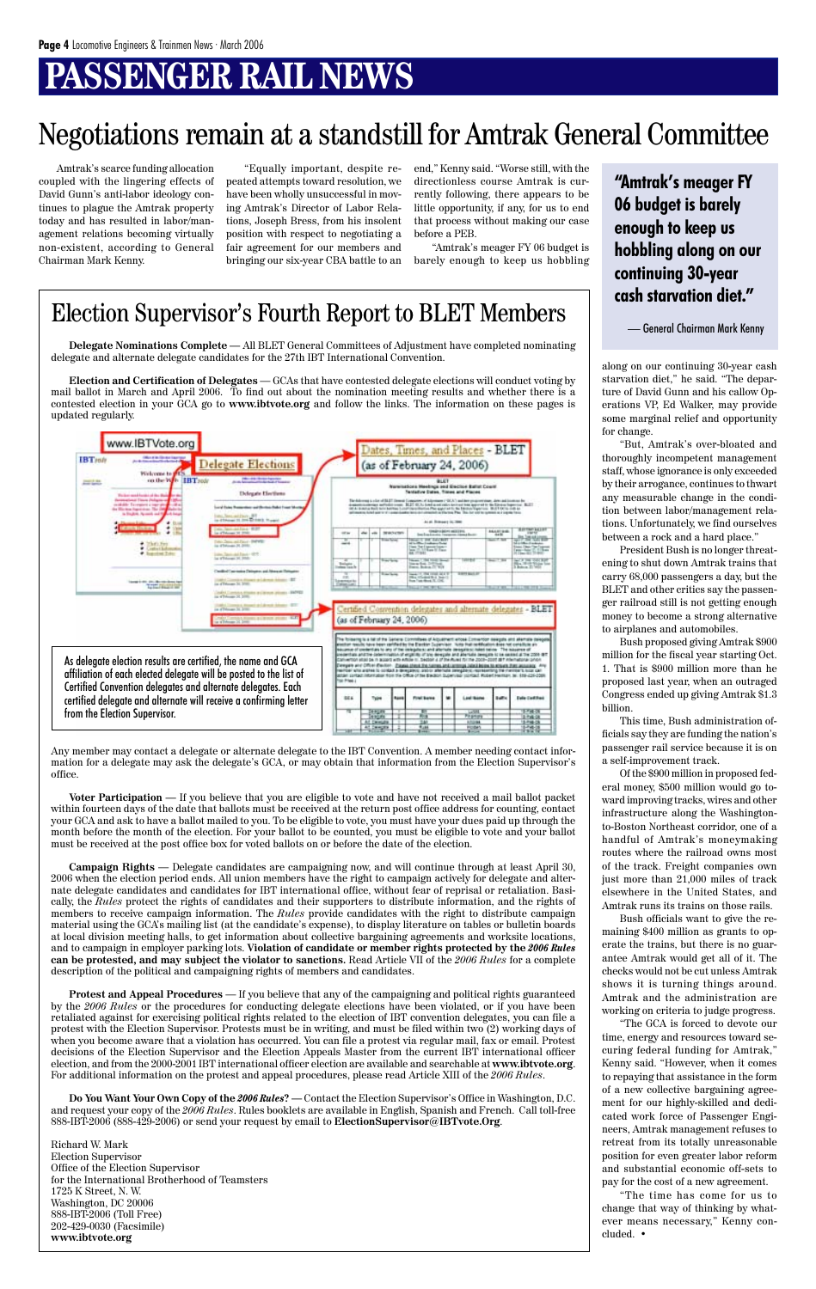# **PASSENGER RAIL NEWS**

**Delegate Nominations Complete —** All BLET General Committees of Adjustment have completed nominating delegate and alternate delegate candidates for the 27th IBT International Convention.

**Election and Certification of Delegates** — GCAs that have contested delegate elections will conduct voting by mail ballot in March and April 2006. To find out about the nomination meeting results and whether there is a contested election in your GCA go to **www.ibtvote.org** and follow the links. The information on these pages is updated regularly.

Any member may contact a delegate or alternate delegate to the IBT Convention. A member needing contact information for a delegate may ask the delegate's GCA, or may obtain that information from the Election Supervisor's office.

**Voter Participation —** If you believe that you are eligible to vote and have not received a mail ballot packet within fourteen days of the date that ballots must be received at the return post office address for counting, contact your GCA and ask to have a ballot mailed to you. To be eligible to vote, you must have your dues paid up through the month before the month of the election. For your ballot to be counted, you must be eligible to vote and your ballot must be received at the post office box for voted ballots on or before the date of the election.

**Campaign Rights** — Delegate candidates are campaigning now, and will continue through at least April 30, 2006 when the election period ends. All union members have the right to campaign actively for delegate and alternate delegate candidates and candidates for IBT international office, without fear of reprisal or retaliation. Basically, the *Rules* protect the rights of candidates and their supporters to distribute information, and the rights of members to receive campaign information. The *Rules* provide candidates with the right to distribute campaign material using the GCA's mailing list (at the candidate's expense), to display literature on tables or bulletin boards at local division meeting halls, to get information about collective bargaining agreements and worksite locations, and to campaign in employer parking lots. **Violation of candidate or member rights protected by the** *2006 Rules* **can be protested, and may subject the violator to sanctions.** Read Article VII of the *2006 Rules* for a complete description of the political and campaigning rights of members and candidates.

**Protest and Appeal Procedures** — If you believe that any of the campaigning and political rights guaranteed by the *2006 Rules* or the procedures for conducting delegate elections have been violated, or if you have been retaliated against for exercising political rights related to the election of IBT convention delegates, you can file a protest with the Election Supervisor. Protests must be in writing, and must be filed within two (2) working days of when you become aware that a violation has occurred. You can file a protest via regular mail, fax or email. Protest decisions of the Election Supervisor and the Election Appeals Master from the current IBT international officer election, and from the 2000-2001 IBT international officer election are available and searchable at **www.ibtvote.org**. For additional information on the protest and appeal procedures, please read Article XIII of the *2006 Rules*.

**Do You Want Your Own Copy of the** *2006 Rules***? —** Contact the Election Supervisor's Office in Washington, D.C. and request your copy of the *2006 Rules*. Rules booklets are available in English, Spanish and French. Call toll-free 888-IBT-2006 (888-429-2006) or send your request by email to **ElectionSupervisor@IBTvote.Org**.

Richard W. Mark Election Supervisor Office of the Election Supervisor for the International Brotherhood of Teamsters 1725 K Street, N. W. Washington, DC 20006 888-IBT-2006 (Toll Free) 202-429-0030 (Facsimile) **www.ibtvote.org**



### Election Supervisor's Fourth Report to BLET Members

Amtrak's scarce funding allocation coupled with the lingering effects of David Gunn's anti-labor ideology continues to plague the Amtrak property today and has resulted in labor/management relations becoming virtually non-existent, according to General Chairman Mark Kenny.

### Negotiations remain at a standstill for Amtrak General Committee

"Equally important, despite repeated attempts toward resolution, we have been wholly unsuccessful in moving Amtrak's Director of Labor Relations, Joseph Bress, from his insolent position with respect to negotiating a fair agreement for our members and bringing our six-year CBA battle to an end," Kenny said. "Worse still, with the directionless course Amtrak is currently following, there appears to be little opportunity, if any, for us to end that process without making our case before a PEB.

"Amtrak's meager FY 06 budget is barely enough to keep us hobbling

> along on our continuing 30-year cash starvation diet," he said. "The departure of David Gunn and his callow Operations VP, Ed Walker, may provide some marginal relief and opportunity for change.

> "But, Amtrak's over-bloated and thoroughly incompetent management staff, whose ignorance is only exceeded by their arrogance, continues to thwart any measurable change in the condition between labor/management relations. Unfortunately, we find ourselves between a rock and a hard place."

> President Bush is no longer threatening to shut down Amtrak trains that carry 68,000 passengers a day, but the BLET and other critics say the passenger railroad still is not getting enough money to become a strong alternative to airplanes and automobiles.

> Bush proposed giving Amtrak \$900 million for the fiscal year starting Oct. 1. That is \$900 million more than he proposed last year, when an outraged Congress ended up giving Amtrak \$1.3 billion.

> This time, Bush administration officials say they are funding the nation's passenger rail service because it is on a self-improvement track.

> Of the \$900 million in proposed federal money, \$500 million would go toward improving tracks, wires and other infrastructure along the Washingtonto-Boston Northeast corridor, one of a handful of Amtrak's moneymaking routes where the railroad owns most of the track. Freight companies own just more than 21,000 miles of track elsewhere in the United States, and Amtrak runs its trains on those rails.

Bush officials want to give the remaining \$400 million as grants to operate the trains, but there is no guarantee Amtrak would get all of it. The checks would not be cut unless Amtrak shows it is turning things around. Amtrak and the administration are working on criteria to judge progress. "The GCA is forced to devote our time, energy and resources toward securing federal funding for Amtrak," Kenny said. "However, when it comes to repaying that assistance in the form of a new collective bargaining agreement for our highly-skilled and dedicated work force of Passenger Engineers, Amtrak management refuses to retreat from its totally unreasonable position for even greater labor reform and substantial economic off-sets to pay for the cost of a new agreement. "The time has come for us to change that way of thinking by whatever means necessary," Kenny concluded. •

**"Amtrak's meager FY 06 budget is barely enough to keep us hobbling along on our continuing 30-year cash starvation diet."**

— General Chairman Mark Kenny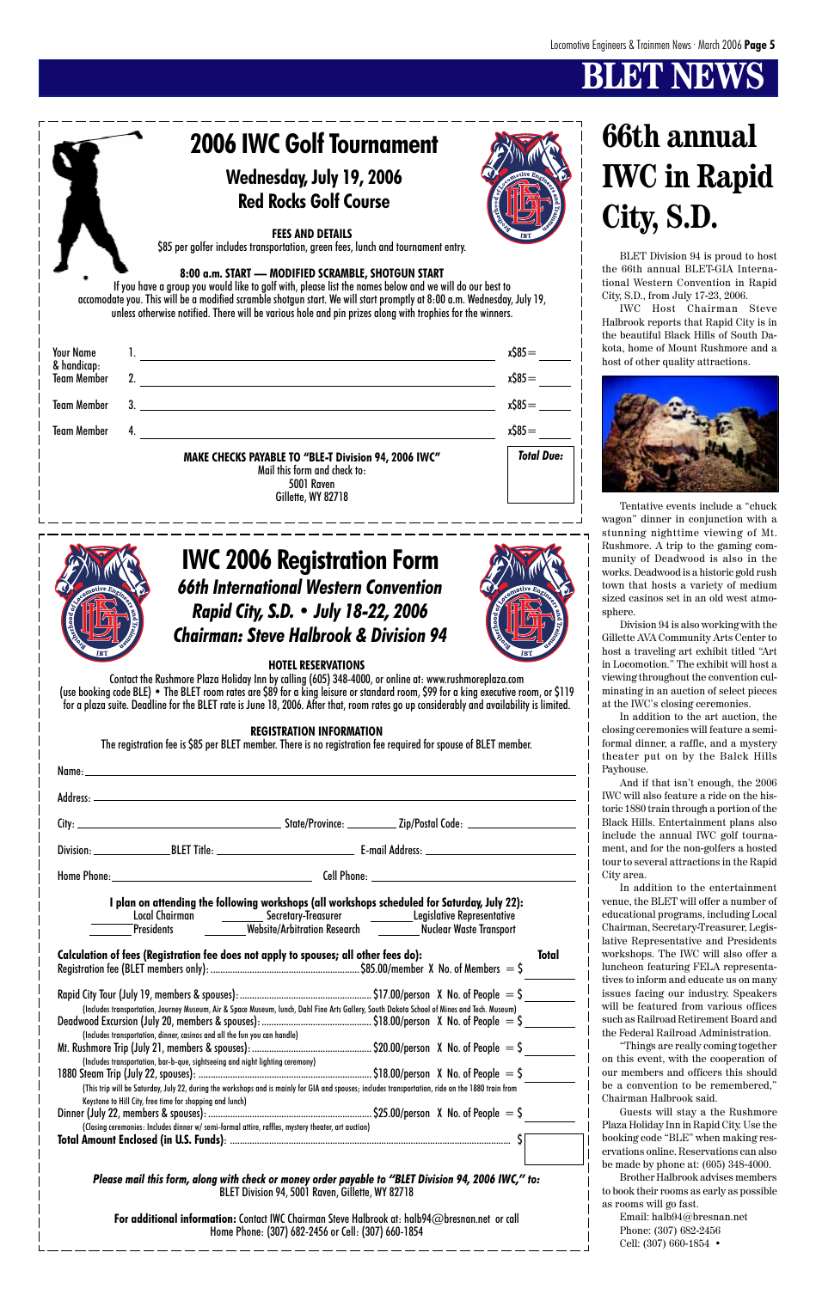# **BT NEW**

### **HOTEL RESERVATIONS**

Contact the Rushmore Plaza Holiday Inn by calling (605) 348-4000, or online at: www.rushmoreplaza.com (use booking code BLE) • The BLET room rates are \$89 for a king leisure or standard room, \$99 for a king executive room, or \$119 for a plaza suite. Deadline for the BLET rate is June 18, 2006. After that, room rates go up considerably and availability is limited.

| I plan on attending the following workshops (all workshops scheduled for Saturday, July 22): |  |                                                                                                                                                                                  |  |  |  |  |  |
|----------------------------------------------------------------------------------------------|--|----------------------------------------------------------------------------------------------------------------------------------------------------------------------------------|--|--|--|--|--|
|                                                                                              |  | Local Chairman _____________ Secretary-Treasurer _____________Legislative Representative<br>Presidents __________Website/Arbitration Research ___________Nuclear Waste Transport |  |  |  |  |  |

#### **REGISTRATION INFORMATION**

The registration fee is \$85 per BLET member. There is no registration fee required for spouse of BLET member.

**Calculation of fees (Registration fee does not apply to spouses; all other fees do): Total** Registration fee (BLET members only): ............................................................. \$85.00/member X No. of Members = \$ Rapid City Tour (July 19, members & spouses):...................................................... \$17.00/person X No. of People = \$ (Includes transportation, Journey Museum, Air & Space Museum, lunch, Dahl Fine Arts Gallery, South Dakota School of Mines and Tech. Museum) Deadwood Excursion (July 20, members & spouses):............................................. \$18.00/person X No. of People = \$ (Includes transportation, dinner, casinos and all the fun you can handle) Mt. Rushmore Trip (July 21, members & spouses):................................................. \$20.00/person X No. of People = \$ (Includes transportation, bar-b-que, sightseeing and night lighting ceremony)  $1880$  Steam Trip (July 22, spouses):  $\ldots$   $\ldots$   $\ldots$   $\ldots$   $\ldots$   $\ldots$   $\ldots$   $\ldots$   $\ldots$   $\ldots$   $\ldots$   $\ldots$   $\ldots$   $\ldots$   $\ldots$   $\ldots$   $\ldots$   $\ldots$   $\ldots$   $\ldots$   $\ldots$   $\ldots$   $\ldots$   $\ldots$   $\ldots$   $\ldots$   $\ldots$   $\ldots$   $\ldots$   $\ldots$   $\ld$ (This trip will be Saturday, July 22, during the workshops and is mainly for GIA and spouses; includes transportation, ride on the 1880 train from Keystone to Hill City, free time for shopping and lunch) Dinner (July 22, members & spouses): ................................................................... \$25.00/person X No. of People = \$ (Closing ceremonies: Includes dinner w/ semi-formal attire, raffles, mystery theater, art auction) **Total Amount Enclosed (in U.S. Funds)**: ................................................................................................................... \$ *Please mail this form, along with check or money order payable to "BLET Division 94, 2006 IWC," to:* BLET Division 94, 5001 Raven, Gillette, WY 82718 **For additional information:** Contact IWC Chairman Steve Halbrook at: halb94@bresnan.net or call Home Phone: (307) 682-2456 or Cell: (307) 660-1854

### *66th International Western Convention Rapid City, S.D. • July 18-22, 2006 Chairman: Steve Halbrook & Division 94* **IWC 2006 Registration Form**







BLET Division 94 is proud to host the 66th annual BLET-GIA International Western Convention in Rapid City, S.D., from July 17-23, 2006.

IWC Host Chairman Steve Halbrook reports that Rapid City is in the beautiful Black Hills of South Dakota, home of Mount Rushmore and a host of other quality attractions.



Tentative events include a "chuck wagon" dinner in conjunction with a stunning nighttime viewing of Mt. Rushmore. A trip to the gaming community of Deadwood is also in the works. Deadwood is a historic gold rush town that hosts a variety of medium sized casinos set in an old west atmosphere.

Division 94 is also working with the Gillette AVA Community Arts Center to host a traveling art exhibit titled "Art in Locomotion." The exhibit will host a viewing throughout the convention culminating in an auction of select pieces at the IWC's closing ceremonies.

In addition to the art auction, the closing ceremonies will feature a semiformal dinner, a raffle, and a mystery theater put on by the Balck Hills Payhouse.

And if that isn't enough, the 2006 IWC will also feature a ride on the historic 1880 train through a portion of the Black Hills. Entertainment plans also include the annual IWC golf tournament, and for the non-golfers a hosted tour to several attractions in the Rapid City area.

In addition to the entertainment venue, the BLET will offer a number of educational programs, including Local Chairman, Secretary-Treasurer, Legislative Representative and Presidents workshops. The IWC will also offer a luncheon featuring FELA representatives to inform and educate us on many issues facing our industry. Speakers will be featured from various offices such as Railroad Retirement Board and the Federal Railroad Administration. "Things are really coming together on this event, with the cooperation of our members and officers this should be a convention to be remembered," Chairman Halbrook said. Guests will stay a the Rushmore Plaza Holiday Inn in Rapid City. Use the booking code "BLE" when making reservations online. Reservations can also be made by phone at: (605) 348-4000. Brother Halbrook advises members to book their rooms as early as possible as rooms will go fast. Email: halb94@bresnan.net Phone: (307) 682-2456 Cell: (307) 660-1854 •

# **66th annual IWC in Rapid**

**City, S.D.**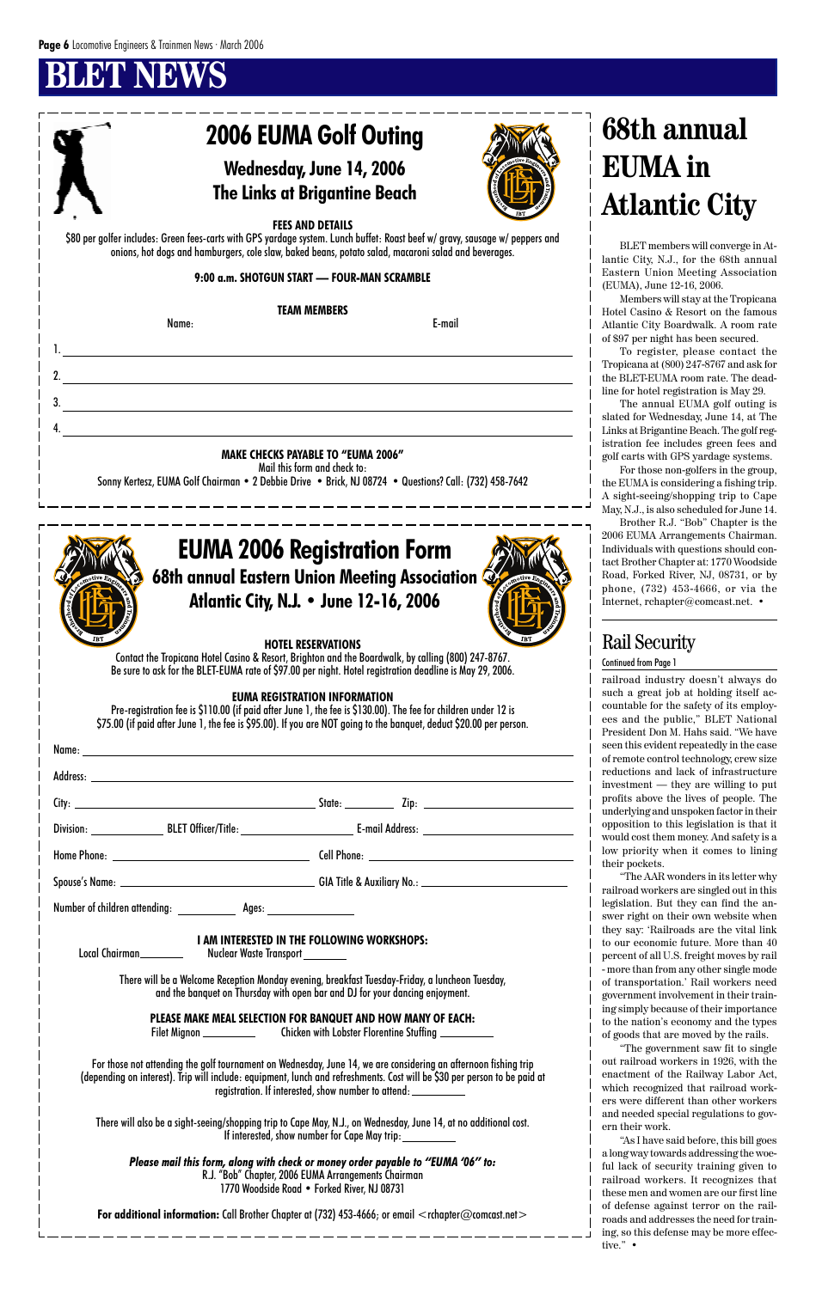# **BLET NEWS**

#### **PLEASE MAKE MEAL SELECTION FOR BANQUET AND HOW MANY OF EACH:** Filet Mignon \_\_\_\_\_\_\_\_\_\_\_\_\_\_\_\_\_\_\_\_Chicken with Lobster Florentine Stuffing \_\_\_\_\_\_\_

*Please mail this form, along with check or money order payable to "EUMA '06" to:* R.J. "Bob" Chapter, 2006 EUMA Arrangements Chairman 1770 Woodside Road • Forked River, NJ 08731

For additional information: Call Brother Chapter at (732) 453-4666; or email <rchapter@comcast.net>

 $-$ 

**I AM INTERESTED IN THE FOLLOWING WORKSHOPS:**

Local Chairman \_\_\_\_\_\_\_\_\_\_\_\_\_\_\_ Nuclear Waste Transport

There will be a Welcome Reception Monday evening, breakfast Tuesday-Friday, a luncheon Tuesday, and the banquet on Thursday with open bar and DJ for your dancing enjoyment.

|                                                                                  | 2006 EUMA Golf Outing                                                                                                                                                                                                                                                                                         |        |                        | <b>68th annual</b>                                                                                                                                                                                                                                                                                                       |
|----------------------------------------------------------------------------------|---------------------------------------------------------------------------------------------------------------------------------------------------------------------------------------------------------------------------------------------------------------------------------------------------------------|--------|------------------------|--------------------------------------------------------------------------------------------------------------------------------------------------------------------------------------------------------------------------------------------------------------------------------------------------------------------------|
|                                                                                  | <b>Wednesday, June 14, 2006</b>                                                                                                                                                                                                                                                                               |        |                        | <b>EUMA</b> in                                                                                                                                                                                                                                                                                                           |
|                                                                                  | <b>The Links at Brigantine Beach</b>                                                                                                                                                                                                                                                                          |        |                        |                                                                                                                                                                                                                                                                                                                          |
|                                                                                  |                                                                                                                                                                                                                                                                                                               |        |                        | <b>Atlantic City</b>                                                                                                                                                                                                                                                                                                     |
|                                                                                  | <b>FEES AND DETAILS</b><br>\$80 per golfer includes: Green fees-carts with GPS yardage system. Lunch buffet: Roast beef w/gravy, sausage w/peppers and<br>onions, hot dogs and hamburgers, cole slaw, baked beans, potato salad, macaroni salad and beverages.<br>9:00 a.m. SHOTGUN START - FOUR-MAN SCRAMBLE |        |                        | BLET members will converge in At-<br>lantic City, N.J., for the 68th annual<br>Eastern Union Meeting Association<br>(EUMA), June 12-16, 2006.<br>Members will stay at the Tropicana                                                                                                                                      |
| Name:                                                                            | <b>TEAM MEMBERS</b>                                                                                                                                                                                                                                                                                           | E-mail |                        | Hotel Casino & Resort on the famous<br>Atlantic City Boardwalk. A room rate                                                                                                                                                                                                                                              |
|                                                                                  |                                                                                                                                                                                                                                                                                                               |        |                        | of \$97 per night has been secured.<br>To register, please contact the<br>Tropicana at (800) 247-8767 and ask for<br>the BLET-EUMA room rate. The dead-<br>line for hotel registration is May 29.<br>The annual EUMA golf outing is<br>slated for Wednesday, June 14, at The<br>Links at Brigantine Beach. The golf reg- |
|                                                                                  | <b>MAKE CHECKS PAYABLE TO "EUMA 2006"</b>                                                                                                                                                                                                                                                                     |        |                        | istration fee includes green fees and<br>golf carts with GPS yardage systems.                                                                                                                                                                                                                                            |
|                                                                                  | Mail this form and check to:<br>Sonny Kertesz, EUMA Golf Chairman • 2 Debbie Drive • Brick, NJ 08724 • Questions? Call: (732) 458-7642                                                                                                                                                                        |        |                        | For those non-golfers in the group,<br>the EUMA is considering a fishing trip.<br>A sight-seeing/shopping trip to Cape<br>May, N.J., is also scheduled for June 14.<br>Brother R.J. "Bob" Chapter is the                                                                                                                 |
|                                                                                  | <b>EUMA 2006 Registration Form</b>                                                                                                                                                                                                                                                                            |        |                        | 2006 EUMA Arrangements Chairman.<br>Individuals with questions should con-<br>tact Brother Chapter at: 1770 Woodside                                                                                                                                                                                                     |
|                                                                                  | 68th annual Eastern Union Meeting Association                                                                                                                                                                                                                                                                 |        | $n^{\text{otive}} E_n$ | Road, Forked River, NJ, 08731, or by                                                                                                                                                                                                                                                                                     |
|                                                                                  | Atlantic City, N.J. • June 12-16, 2006                                                                                                                                                                                                                                                                        |        |                        | phone, (732) 453-4666, or via the<br>Internet, rehapter@comcast.net. •                                                                                                                                                                                                                                                   |
|                                                                                  | <b>HOTEL RESERVATIONS</b>                                                                                                                                                                                                                                                                                     |        |                        | <b>Rail Security</b>                                                                                                                                                                                                                                                                                                     |
|                                                                                  | Contact the Tropicana Hotel Casino & Resort, Brighton and the Boardwalk, by calling (800) 247-8767.<br>Be sure to ask for the BLET-EUMA rate of \$97.00 per night. Hotel registration deadline is May 29, 2006.                                                                                               |        |                        | <b>Continued from Page 1</b>                                                                                                                                                                                                                                                                                             |
|                                                                                  | <b>EUMA REGISTRATION INFORMATION</b><br>Pre-registration fee is \$110.00 (if paid after June 1, the fee is \$130.00). The fee for children under 12 is<br>\$75.00 (if paid after June 1, the fee is \$95.00). If you are NOT going to the banquet, deduct \$20.00 per person.                                 |        |                        | railroad industry doesn't always do<br>such a great job at holding itself ac-<br>countable for the safety of its employ-<br>ees and the public," BLET National<br>President Don M. Hahs said. "We have<br>seen this evident repeatedly in the case                                                                       |
|                                                                                  |                                                                                                                                                                                                                                                                                                               |        |                        | of remote control technology, crew size<br>reductions and lack of infrastructure                                                                                                                                                                                                                                         |
|                                                                                  |                                                                                                                                                                                                                                                                                                               |        |                        | investment — they are willing to put<br>profits above the lives of people. The                                                                                                                                                                                                                                           |
|                                                                                  |                                                                                                                                                                                                                                                                                                               |        |                        | underlying and unspoken factor in their<br>opposition to this legislation is that it                                                                                                                                                                                                                                     |
|                                                                                  |                                                                                                                                                                                                                                                                                                               |        |                        | would cost them money. And safety is a<br>low priority when it comes to lining                                                                                                                                                                                                                                           |
|                                                                                  |                                                                                                                                                                                                                                                                                                               |        |                        | their pockets.                                                                                                                                                                                                                                                                                                           |
|                                                                                  |                                                                                                                                                                                                                                                                                                               |        |                        | "The AAR wonders in its letter why<br>railroad workers are singled out in this                                                                                                                                                                                                                                           |
| Number of children attending: ________________ Ages: ___________________________ |                                                                                                                                                                                                                                                                                                               |        |                        | legislation. But they can find the an-<br>swer right on their own website when<br>they say: 'Railroads are the vital link                                                                                                                                                                                                |

For those not attending the golf tournament on Wednesday, June 14, we are considering an afternoon fishing trip (depending on interest). Trip will include: equipment, lunch and refreshments. Cost will be \$30 per person to be paid at registration. If interested, show number to attend:

There will also be a sight-seeing/shopping trip to Cape May, N.J., on Wednesday, June 14, at no additional cost. If interested, show number for Cape May trip:

to our economic future. More than 40

percent of all U.S. freight moves by rail - more than from any other single mode of transportation.' Rail workers need government involvement in their training simply because of their importance to the nation's economy and the types of goods that are moved by the rails.

"The government saw fit to single out railroad workers in 1926, with the enactment of the Railway Labor Act, which recognized that railroad workers were different than other workers and needed special regulations to govern their work.

"As I have said before, this bill goes a long way towards addressing the woeful lack of security training given to railroad workers. It recognizes that these men and women are our first line of defense against terror on the railroads and addresses the need for training, so this defense may be more effective." •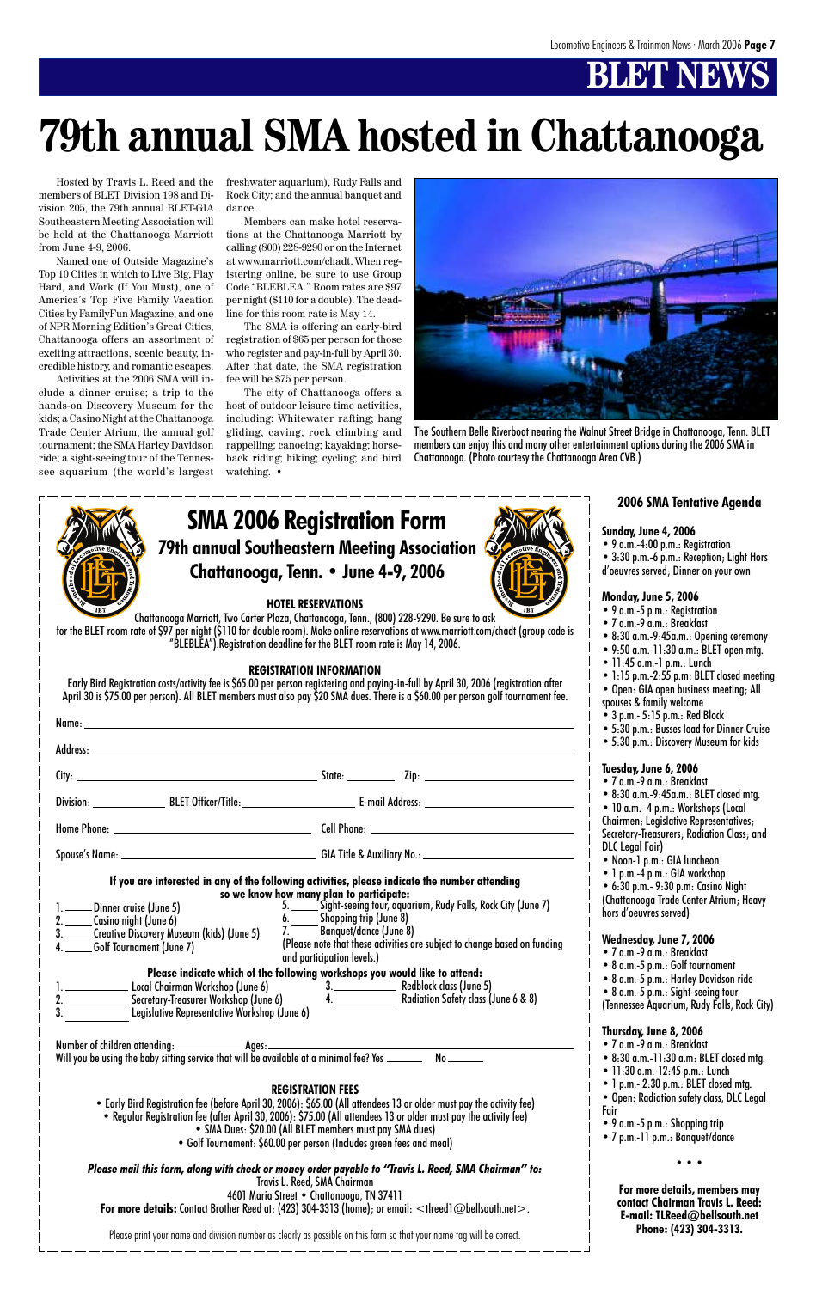# **BLET NEWS**

### **79th annual Southeastern Meeting Association Chattanooga, Tenn. • June 4-9, 2006 SMA 2006 Registration Form**

### **HOTEL RESERVATIONS**

Chattanooga Marriott, Two Carter Plaza, Chattanooga, Tenn., (800) 228-9290. Be sure to ask for the BLET room rate of \$97 per night (\$110 for double room). Make online reservations at www.marriott.com/chadt (group code is "BLEBLEA").Registration deadline for the BLET room rate is May 14, 2006.

### **REGISTRATION INFORMATION**

Early Bird Registration costs/activity fee is \$65.00 per person registering and paying-in-full by April 30, 2006 (registration after April 30 is \$75.00 per person). All BLET members must also pay \$20 SMA dues. There is a \$60.00 per person golf tournament fee.

| 1. ______ Dinner cruise (June 5)<br>1. _____Dinner cruise (June 5)<br>2. _____Casino night (June 6)                  Shopping trip (June 8)<br>3. _____Creative Discovery Museum (kids) (June 5)   7. _______Banquet/dance (June 8) | If you are interested in any of the following activities, please indicate the number attending |
|-------------------------------------------------------------------------------------------------------------------------------------------------------------------------------------------------------------------------------------|------------------------------------------------------------------------------------------------|
|                                                                                                                                                                                                                                     |                                                                                                |



Hosted by Travis L. Reed and the members of BLET Division 198 and Division 205, the 79th annual BLET-GIA Southeastern Meeting Association will be held at the Chattanooga Marriott from June 4-9, 2006.

Named one of Outside Magazine's Top 10 Cities in which to Live Big, Play Hard, and Work (If You Must), one of America's Top Five Family Vacation Cities by FamilyFun Magazine, and one of NPR Morning Edition's Great Cities, Chattanooga offers an assortment of exciting attractions, scenic beauty, incredible history, and romantic escapes.

Activities at the 2006 SMA will include a dinner cruise; a trip to the hands-on Discovery Museum for the kids; a Casino Night at the Chattanooga Trade Center Atrium; the annual golf tournament; the SMA Harley Davidson ride; a sight-seeing tour of the Tennessee aquarium (the world's largest

# **79th annual SMA hosted in Chattanooga**

freshwater aquarium), Rudy Falls and Rock City; and the annual banquet and dance.

Members can make hotel reservations at the Chattanooga Marriott by calling (800) 228-9290 or on the Internet at www.marriott.com/chadt. When registering online, be sure to use Group Code "BLEBLEA." Room rates are \$97 per night (\$110 for a double). The deadline for this room rate is May 14.

The SMA is offering an early-bird registration of \$65 per person for those who register and pay-in-full by April 30. After that date, the SMA registration fee will be \$75 per person.

The city of Chattanooga offers a host of outdoor leisure time activities, including: Whitewater rafting; hang gliding; caving; rock climbing and rappelling; canoeing; kayaking; horseback riding; hiking; cycling; and bird watching. •

### **2006 SMA Tentative Agenda**

#### **Sunday, June 4, 2006**

- 9 a.m.-4:00 p.m.: Registration
- 3:30 p.m.-6 p.m.: Reception; Light Hors
- d'oeuvres served; Dinner on your own

### **Monday, June 5, 2006**

- 9 a.m.-5 p.m.: Registration
- 7 a.m.-9 a.m.: Breakfast
- 8:30 a.m.-9:45a.m.: Opening ceremony
- 9:50 a.m.-11:30 a.m.: BLET open mtg.
- 11:45 a.m.-1 p.m.: Lunch
- 1:15 p.m.-2:55 p.m: BLET closed meeting
- Open: GIA open business meeting; All
- spouses & family welcome
- 3 p.m.- 5:15 p.m.: Red Block
- 5:30 p.m.: Busses load for Dinner Cruise
- 5:30 p.m.: Discovery Museum for kids

### **Tuesday, June 6, 2006**

• 7 a.m.-9 a.m.: Breakfast

• 8:30 a.m.-9:45a.m.: BLET closed mtg. • 10 a.m.- 4 p.m.: Workshops (Local Chairmen; Legislative Representatives; Secretary-Treasurers; Radiation Class; and DLC Legal Fair)

- Noon-1 p.m.: GIA luncheon
- 1 p.m.-4 p.m.: GIA workshop

• 6:30 p.m.- 9:30 p.m: Casino Night (Chattanooga Trade Center Atrium; Heavy hors d'oeuvres served) **Wednesday, June 7, 2006** • 7 a.m.-9 a.m.: Breakfast • 8 a.m.-5 p.m.: Golf tournament • 8 a.m.-5 p.m.: Harley Davidson ride • 8 a.m.-5 p.m.: Sight-seeing tour (Tennessee Aquarium, Rudy Falls, Rock City) **Thursday, June 8, 2006** • 7 a.m.-9 a.m.: Breakfast • 8:30 a.m.-11:30 a.m: BLET closed mtg. • 11:30 a.m.-12:45 p.m.: Lunch • 1 p.m.- 2:30 p.m.: BLET closed mtg. • Open: Radiation safety class, DLC Legal Fair • 9 a.m.-5 p.m.: Shopping trip • 7 p.m.-11 p.m.: Banquet/dance **• • • For more details, members may contact Chairman Travis L. Reed: E-mail: TLReed@bellsouth.net Phone: (423) 304-3313.**



The Southern Belle Riverboat nearing the Walnut Street Bridge in Chattanooga, Tenn. BLET members can enjoy this and many other entertainment options during the 2006 SMA in Chattanooga. (Photo courtesy the Chattanooga Area CVB.)